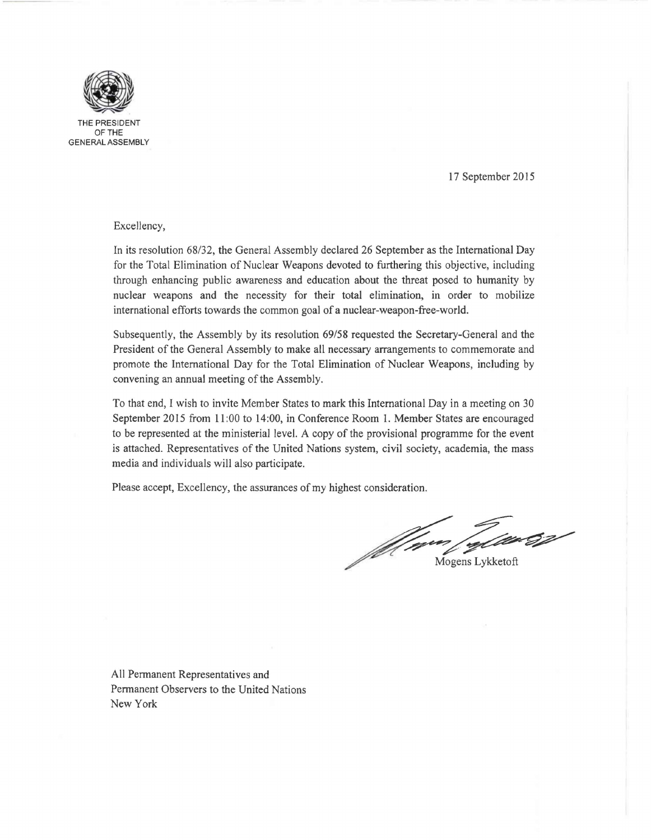

THE PRESIDE OFTHE GENERAL ASSEMBLY

## 17 September 2015

## Excellency,

In its resolution 68/32, the General Assembly declared 26 September as the International Day for the Total Elimination of Nuclear Weapons devoted to furthering this objective, including through enhancing public awareness and education about the threat posed to humanity by nuclear weapons and the necessity for their total elimination, in order to mobilize international efforts towards the common goal of a nuclear-weapon-free-world.

Subsequently, the Assembly by its resolution 69/58 requested the Secretary-General and the President of the General Assembly to make all necessary arrangements to commemorate and promote the International Day for the Total Elimination of Nuclear Weapons, including by convening an annual meeting of the Assembly.

To that end, I wish to invite Member States to mark this International Day in a meeting on 30 September 2015 from 11 :00 to 14:00, in Conference Room 1. Member States are encouraged to be represented at the ministerial level. A copy of the provisional programme for the event is attached. Representatives of the United Nations system, civil society, academia, the mass media and individuals will also participate.

Please accept, Excellency, the assurances of my highest consideration.

Moren Carl Care Ž

All Permanent Representatives and Permanent Observers to the United Nations New York